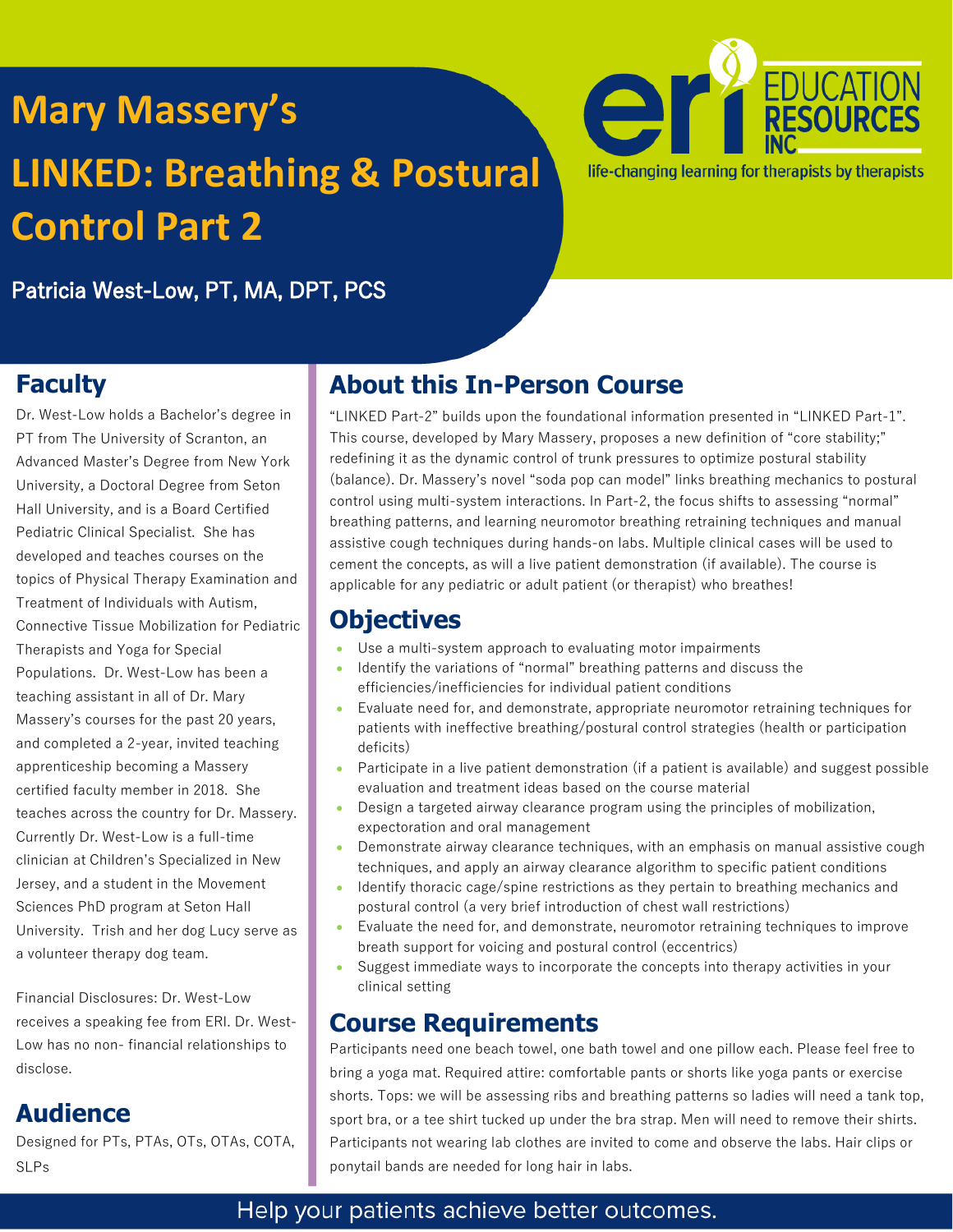# **Mary Massery's LINKED: Breathing & Postural Control Part 2**



Patricia West-Low, PT, MA, DPT, PCS

### **Faculty**

Dr. West-Low holds a Bachelor's degree in PT from The University of Scranton, an Advanced Master's Degree from New York University, a Doctoral Degree from Seton Hall University, and is a Board Certified Pediatric Clinical Specialist. She has developed and teaches courses on the topics of Physical Therapy Examination and Treatment of Individuals with Autism, Connective Tissue Mobilization for Pediatric Therapists and Yoga for Special Populations. Dr. West-Low has been a teaching assistant in all of Dr. Mary Massery's courses for the past 20 years, and completed a 2-year, invited teaching apprenticeship becoming a Massery certified faculty member in 2018. She teaches across the country for Dr. Massery. Currently Dr. West-Low is a full-time clinician at Children's Specialized in New Jersey, and a student in the Movement Sciences PhD program at Seton Hall University. Trish and her dog Lucy serve as a volunteer therapy dog team.

Financial Disclosures: Dr. West-Low receives a speaking fee from ERI. Dr. West-Low has no non- financial relationships to disclose.

### **Audience**

Designed for PTs, PTAs, OTs, OTAs, COTA, SLPs

### **About this In-Person Course**

"LINKED Part-2" builds upon the foundational information presented in "LINKED Part-1". This course, developed by Mary Massery, proposes a new definition of "core stability;" redefining it as the dynamic control of trunk pressures to optimize postural stability (balance). Dr. Massery's novel "soda pop can model" links breathing mechanics to postural control using multi-system interactions. In Part-2, the focus shifts to assessing "normal" breathing patterns, and learning neuromotor breathing retraining techniques and manual assistive cough techniques during hands-on labs. Multiple clinical cases will be used to cement the concepts, as will a live patient demonstration (if available). The course is applicable for any pediatric or adult patient (or therapist) who breathes!

### **Objectives**

- Use a multi-system approach to evaluating motor impairments
- Identify the variations of "normal" breathing patterns and discuss the efficiencies/inefficiencies for individual patient conditions
- Evaluate need for, and demonstrate, appropriate neuromotor retraining techniques for patients with ineffective breathing/postural control strategies (health or participation deficits)
- Participate in a live patient demonstration (if a patient is available) and suggest possible evaluation and treatment ideas based on the course material
- Design a targeted airway clearance program using the principles of mobilization, expectoration and oral management
- Demonstrate airway clearance techniques, with an emphasis on manual assistive cough techniques, and apply an airway clearance algorithm to specific patient conditions
- Identify thoracic cage/spine restrictions as they pertain to breathing mechanics and postural control (a very brief introduction of chest wall restrictions)
- Evaluate the need for, and demonstrate, neuromotor retraining techniques to improve breath support for voicing and postural control (eccentrics)
- Suggest immediate ways to incorporate the concepts into therapy activities in your clinical setting

### **Course Requirements**

Participants need one beach towel, one bath towel and one pillow each. Please feel free to bring a yoga mat. Required attire: comfortable pants or shorts like yoga pants or exercise shorts. Tops: we will be assessing ribs and breathing patterns so ladies will need a tank top, sport bra, or a tee shirt tucked up under the bra strap. Men will need to remove their shirts. Participants not wearing lab clothes are invited to come and observe the labs. Hair clips or ponytail bands are needed for long hair in labs.

### Help your patients achieve better outcomes.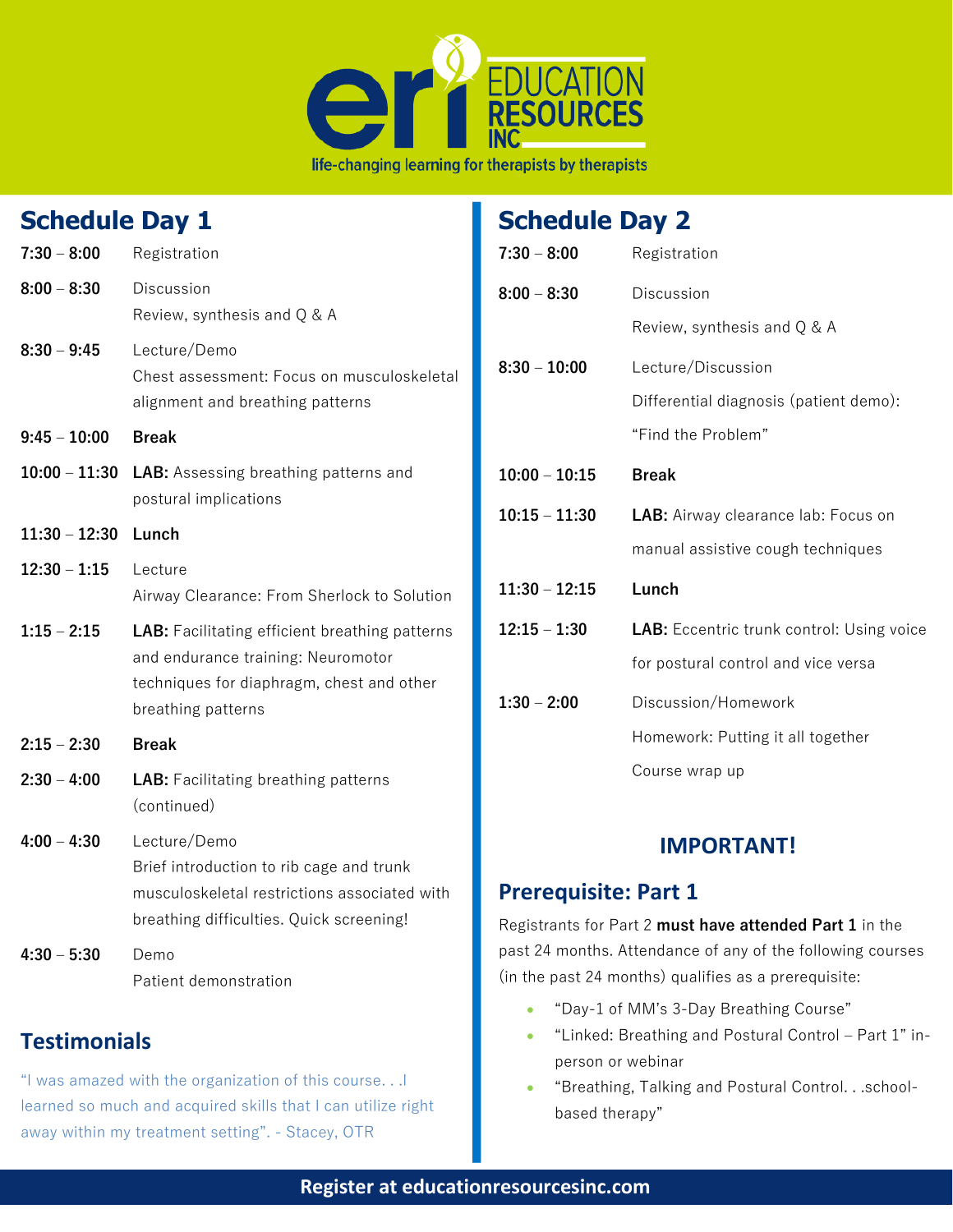

#### **Schedule Day 1 7:30 – 8:00** Registration **8:00 – 8:30** Discussion Review, synthesis and Q & A **8:30 – 9:45** Lecture/Demo Chest assessment: Focus on musculoskeletal alignment and breathing patterns **9:45 – 10:00 Break 10:00 – 11:30 LAB:** Assessing breathing patterns and postural implications **11:30 – 12:30 Lunch 12:30 – 1:15** Lecture Airway Clearance: From Sherlock to Solution **1:15 – 2:15 LAB:** Facilitating efficient breathing patterns and endurance training: Neuromotor techniques for diaphragm, chest and other breathing patterns **2:15 – 2:30 Break 2:30 – 4:00 LAB:** Facilitating breathing patterns (continued) **4:00 – 4:30** Lecture/Demo Brief introduction to rib cage and trunk musculoskeletal restrictions associated with breathing difficulties. Quick screening! **4:30 – 5:30** Demo Patient demonstration **Testimonials Schedule Day 2 7:30 – 8:00** Registration **8:00 – 8:30** Discussion Review, synthesis and Q & A **8:30 – 10:00** Lecture/Discussion Differential diagnosis (patient demo): "Find the Problem" **10:00 – 10:15 Break 10:15 – 11:30 LAB:** Airway clearance lab: Focus on manual assistive cough techniques **11:30 – 12:15 Lunch 12:15 – 1:30 LAB:** Eccentric trunk control: Using voice for postural control and vice versa **1:30 – 2:00** Discussion/Homework Homework: Putting it all together Course wrap up **IMPORTANT! Prerequisite: Part 1** Registrants for Part 2 **must have attended Part 1** in the past 24 months. Attendance of any of the following courses (in the past 24 months) qualifies as a prerequisite: • "Day-1 of MM's 3-Day Breathing Course"

• "Linked: Breathing and Postural Control – Part 1" inperson or webinar

#### • "Breathing, Talking and Postural Control. . .schoolbased therapy"

"I was amazed with the organization of this course. . .I learned so much and acquired skills that I can utilize right

away within my treatment setting". - Stacey, OTR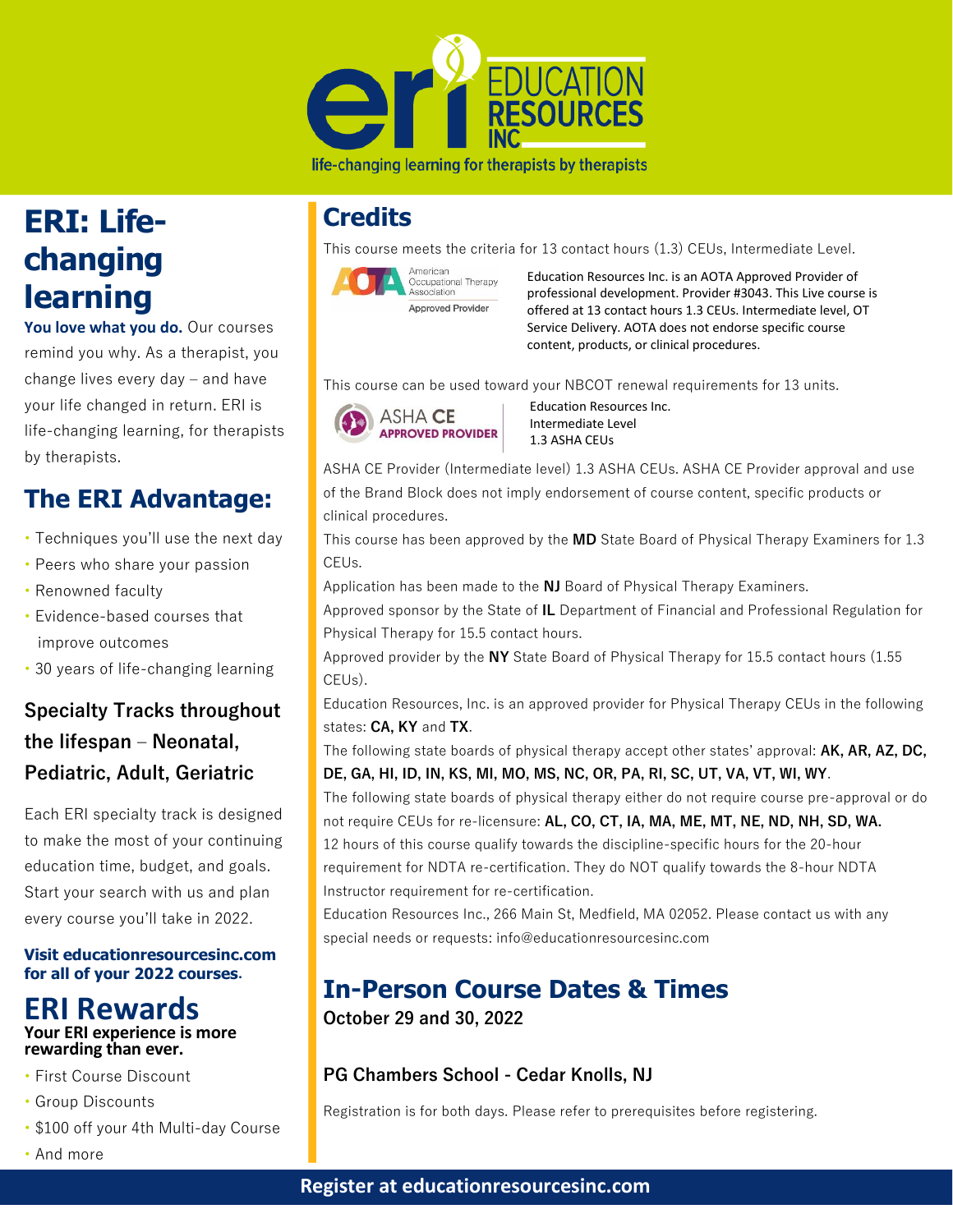

#### life-changing learning for therapists by therapists

# **ERI: Lifechanging learning**

**You love what you do.** Our courses remind you why. As a therapist, you change lives every day – and have your life changed in return. ERI is life-changing learning, for therapists by therapists.

### **The ERI Advantage:**

- Techniques you'll use the next day
- Peers who share your passion
- Renowned faculty
- Evidence-based courses that improve outcomes
- 30 years of life-changing learning

### **Specialty Tracks throughout the lifespan – Neonatal, Pediatric, Adult, Geriatric**

Each ERI specialty track is designed to make the most of your continuing education time, budget, and goals. Start your search with us and plan every course you'll take in 2022.

#### **Visit educationresourcesinc.com for all of your 2022 courses.**

#### **ERI Rewards Your ERI experience is more rewarding than ever.**

- First Course Discount
- Group Discounts
- \$100 off your 4th Multi-day Course
- And more

### **Credits**

This course meets the criteria for 13 contact hours (1.3) CEUs, Intermediate Level.



Education Resources Inc. is an AOTA Approved Provider of professional development. Provider #3043. This Live course is offered at 13 contact hours 1.3 CEUs. Intermediate level, OT Service Delivery. AOTA does not endorse specific course content, products, or clinical procedures.

This course can be used toward your NBCOT renewal requirements for 13 units.



 Education Resources Inc. Intermediate Level 1.3 ASHA CEUs

ASHA CE Provider (Intermediate level) 1.3 ASHA CEUs. ASHA CE Provider approval and use of the Brand Block does not imply endorsement of course content, specific products or clinical procedures.

This course has been approved by the **MD** State Board of Physical Therapy Examiners for 1.3 CEUs.

Application has been made to the **NJ** Board of Physical Therapy Examiners.

Approved sponsor by the State of **IL** Department of Financial and Professional Regulation for Physical Therapy for 15.5 contact hours.

Approved provider by the **NY** State Board of Physical Therapy for 15.5 contact hours (1.55 CEUs).

Education Resources, Inc. is an approved provider for Physical Therapy CEUs in the following states: **CA, KY** and **TX**.

The following state boards of physical therapy accept other states' approval: **AK, AR, AZ, DC, DE, GA, HI, ID, IN, KS, MI, MO, MS, NC, OR, PA, RI, SC, UT, VA, VT, WI, WY**.

The following state boards of physical therapy either do not require course pre-approval or do not require CEUs for re-licensure: **AL, CO, CT, IA, MA, ME, MT, NE, ND, NH, SD, WA.** 12 hours of this course qualify towards the discipline-specific hours for the 20-hour requirement for NDTA re-certification. They do NOT qualify towards the 8-hour NDTA Instructor requirement for re-certification.

Education Resources Inc., 266 Main St, Medfield, MA 02052. Please contact us with any special needs or requests: info@educationresourcesinc.com

# **In-Person Course Dates & Times**

**October 29 and 30, 2022** 

#### **PG Chambers School - Cedar Knolls, NJ**

Registration is for both days. Please refer to prerequisites before registering.

#### **Register at educationresourcesinc.com**